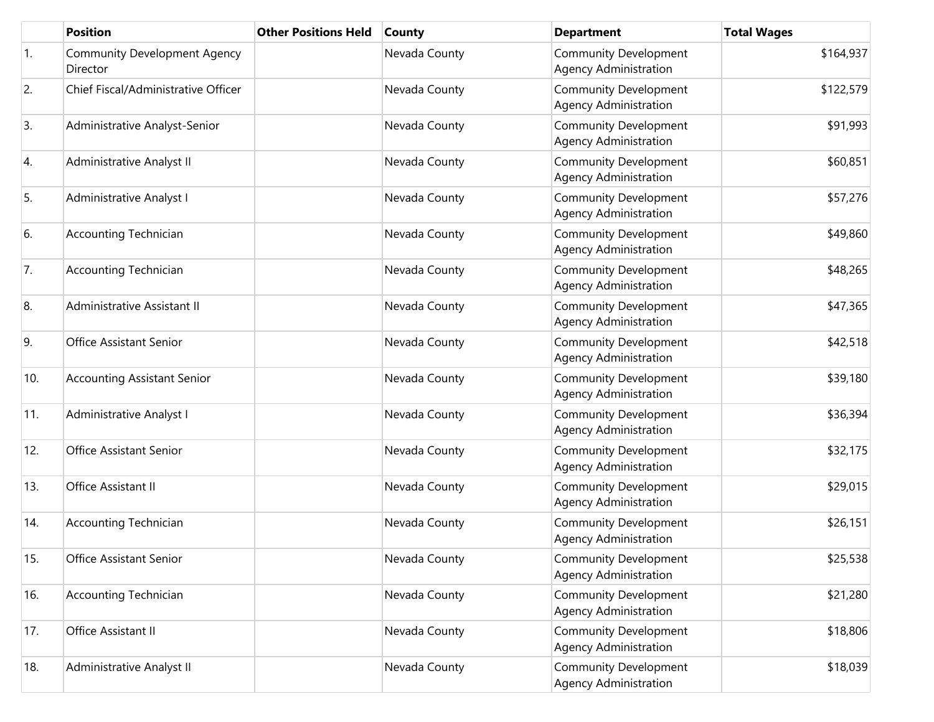|                  | <b>Position</b>                                 | <b>Other Positions Held</b> | <b>County</b> | <b>Department</b>                                            | <b>Total Wages</b> |
|------------------|-------------------------------------------------|-----------------------------|---------------|--------------------------------------------------------------|--------------------|
| $\overline{1}$ . | <b>Community Development Agency</b><br>Director |                             | Nevada County | <b>Community Development</b><br><b>Agency Administration</b> | \$164,937          |
| 2.               | Chief Fiscal/Administrative Officer             |                             | Nevada County | <b>Community Development</b><br><b>Agency Administration</b> | \$122,579          |
| 3.               | Administrative Analyst-Senior                   |                             | Nevada County | <b>Community Development</b><br><b>Agency Administration</b> | \$91,993           |
| 4.               | Administrative Analyst II                       |                             | Nevada County | <b>Community Development</b><br><b>Agency Administration</b> | \$60,851           |
| 5.               | Administrative Analyst I                        |                             | Nevada County | <b>Community Development</b><br><b>Agency Administration</b> | \$57,276           |
| 6.               | <b>Accounting Technician</b>                    |                             | Nevada County | <b>Community Development</b><br><b>Agency Administration</b> | \$49,860           |
| 7.               | <b>Accounting Technician</b>                    |                             | Nevada County | <b>Community Development</b><br><b>Agency Administration</b> | \$48,265           |
| 8.               | Administrative Assistant II                     |                             | Nevada County | <b>Community Development</b><br><b>Agency Administration</b> | \$47,365           |
| 9.               | Office Assistant Senior                         |                             | Nevada County | <b>Community Development</b><br><b>Agency Administration</b> | \$42,518           |
| 10.              | <b>Accounting Assistant Senior</b>              |                             | Nevada County | <b>Community Development</b><br><b>Agency Administration</b> | \$39,180           |
| 11.              | Administrative Analyst I                        |                             | Nevada County | <b>Community Development</b><br><b>Agency Administration</b> | \$36,394           |
| 12.              | Office Assistant Senior                         |                             | Nevada County | <b>Community Development</b><br><b>Agency Administration</b> | \$32,175           |
| 13.              | Office Assistant II                             |                             | Nevada County | <b>Community Development</b><br><b>Agency Administration</b> | \$29,015           |
| 14.              | <b>Accounting Technician</b>                    |                             | Nevada County | <b>Community Development</b><br><b>Agency Administration</b> | \$26,151           |
| 15.              | Office Assistant Senior                         |                             | Nevada County | <b>Community Development</b><br><b>Agency Administration</b> | \$25,538           |
| 16.              | <b>Accounting Technician</b>                    |                             | Nevada County | <b>Community Development</b><br><b>Agency Administration</b> | \$21,280           |
| 17.              | Office Assistant II                             |                             | Nevada County | <b>Community Development</b><br><b>Agency Administration</b> | \$18,806           |
| 18.              | Administrative Analyst II                       |                             | Nevada County | <b>Community Development</b><br>Agency Administration        | \$18,039           |